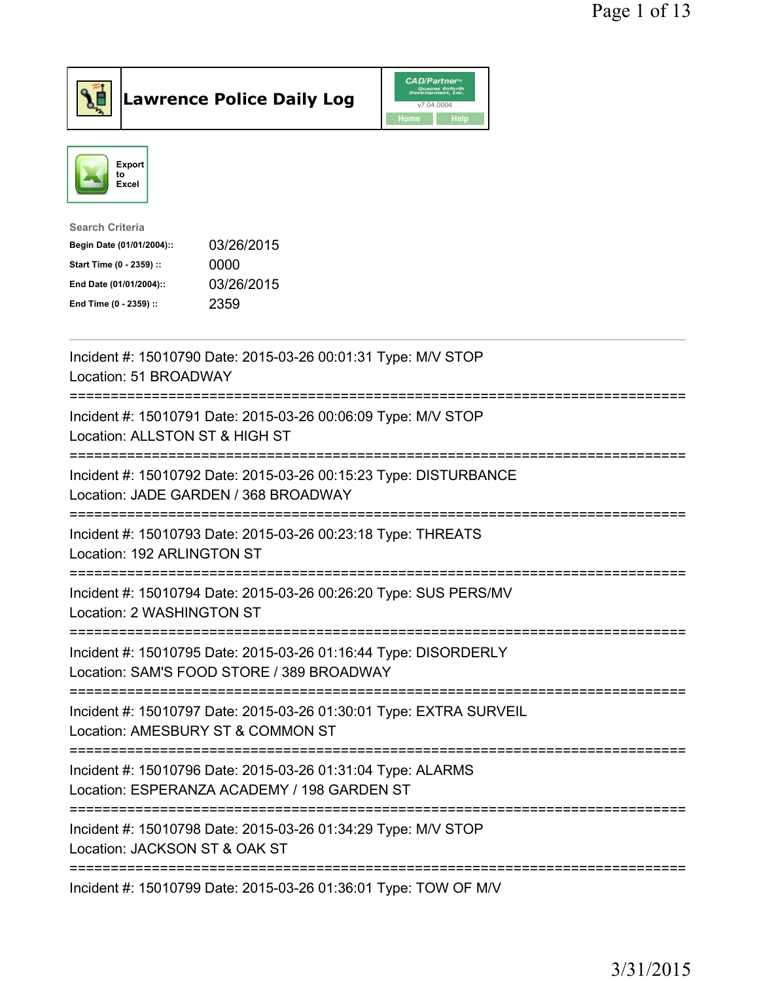

**Lawrence Police Daily Log** 



| <b>Search Criteria</b>    |            |
|---------------------------|------------|
| Begin Date (01/01/2004):: | 03/26/2015 |
| Start Time (0 - 2359) ::  | 0000       |
| End Date (01/01/2004)::   | 03/26/2015 |
| End Time (0 - 2359) ::    | 2359       |
|                           |            |

| Incident #: 15010790 Date: 2015-03-26 00:01:31 Type: M/V STOP<br>Location: 51 BROADWAY                                                                                |
|-----------------------------------------------------------------------------------------------------------------------------------------------------------------------|
| Incident #: 15010791 Date: 2015-03-26 00:06:09 Type: M/V STOP<br>Location: ALLSTON ST & HIGH ST                                                                       |
| Incident #: 15010792 Date: 2015-03-26 00:15:23 Type: DISTURBANCE<br>Location: JADE GARDEN / 368 BROADWAY<br>--------------------                                      |
| Incident #: 15010793 Date: 2015-03-26 00:23:18 Type: THREATS<br>Location: 192 ARLINGTON ST                                                                            |
| Incident #: 15010794 Date: 2015-03-26 00:26:20 Type: SUS PERS/MV<br>Location: 2 WASHINGTON ST<br>--------------------                                                 |
| Incident #: 15010795 Date: 2015-03-26 01:16:44 Type: DISORDERLY<br>Location: SAM'S FOOD STORE / 389 BROADWAY                                                          |
| :================================<br>Incident #: 15010797 Date: 2015-03-26 01:30:01 Type: EXTRA SURVEIL<br>Location: AMESBURY ST & COMMON ST                          |
| =============================<br>----------------------<br>Incident #: 15010796 Date: 2015-03-26 01:31:04 Type: ALARMS<br>Location: ESPERANZA ACADEMY / 198 GARDEN ST |
| -------------------------------<br>----------<br>Incident #: 15010798 Date: 2015-03-26 01:34:29 Type: M/V STOP<br>Location: JACKSON ST & OAK ST                       |
| Incident #: 15010799 Date: 2015-03-26 01:36:01 Type: TOW OF M/V                                                                                                       |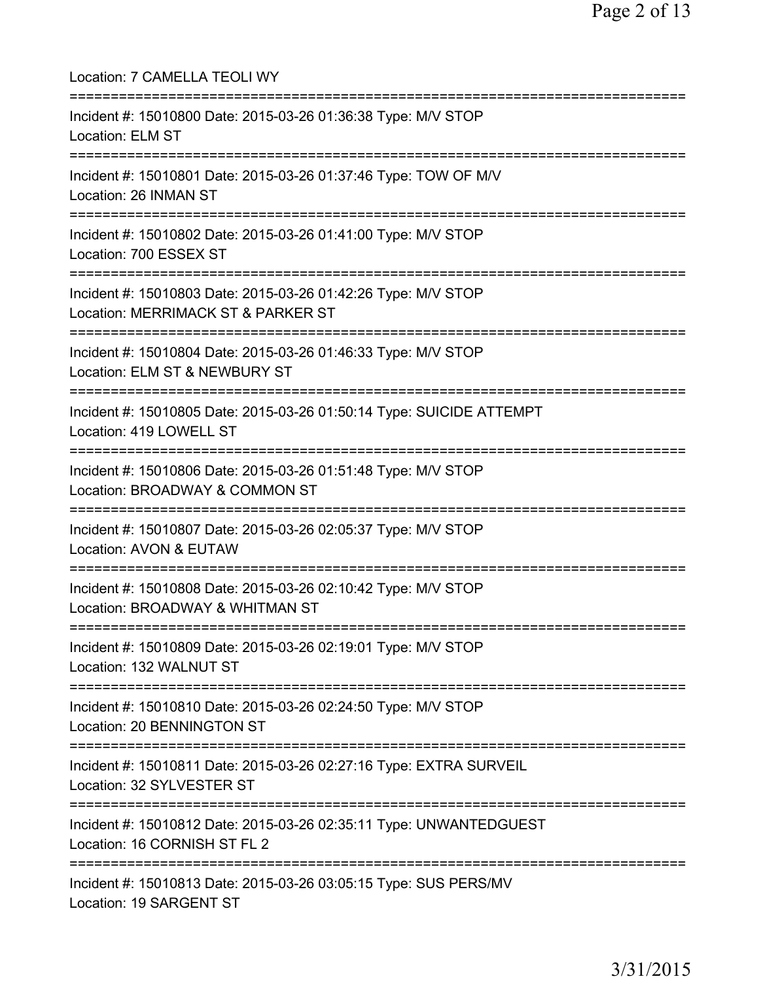| Location: 7 CAMELLA TEOLI WY<br>=====================                                                                       |
|-----------------------------------------------------------------------------------------------------------------------------|
| Incident #: 15010800 Date: 2015-03-26 01:36:38 Type: M/V STOP<br>Location: ELM ST<br>==============================         |
| Incident #: 15010801 Date: 2015-03-26 01:37:46 Type: TOW OF M/V<br>Location: 26 INMAN ST                                    |
| Incident #: 15010802 Date: 2015-03-26 01:41:00 Type: M/V STOP<br>Location: 700 ESSEX ST                                     |
| Incident #: 15010803 Date: 2015-03-26 01:42:26 Type: M/V STOP<br>Location: MERRIMACK ST & PARKER ST                         |
| -------------------------<br>Incident #: 15010804 Date: 2015-03-26 01:46:33 Type: M/V STOP<br>Location: ELM ST & NEWBURY ST |
| Incident #: 15010805 Date: 2015-03-26 01:50:14 Type: SUICIDE ATTEMPT<br>Location: 419 LOWELL ST                             |
| Incident #: 15010806 Date: 2015-03-26 01:51:48 Type: M/V STOP<br>Location: BROADWAY & COMMON ST                             |
| Incident #: 15010807 Date: 2015-03-26 02:05:37 Type: M/V STOP<br><b>Location: AVON &amp; EUTAW</b>                          |
| Incident #: 15010808 Date: 2015-03-26 02:10:42 Type: M/V STOP<br>Location: BROADWAY & WHITMAN ST                            |
| Incident #: 15010809 Date: 2015-03-26 02:19:01 Type: M/V STOP<br>Location: 132 WALNUT ST                                    |
| Incident #: 15010810 Date: 2015-03-26 02:24:50 Type: M/V STOP<br>Location: 20 BENNINGTON ST                                 |
| Incident #: 15010811 Date: 2015-03-26 02:27:16 Type: EXTRA SURVEIL<br>Location: 32 SYLVESTER ST                             |
| Incident #: 15010812 Date: 2015-03-26 02:35:11 Type: UNWANTEDGUEST<br>Location: 16 CORNISH ST FL 2                          |
| Incident #: 15010813 Date: 2015-03-26 03:05:15 Type: SUS PERS/MV<br>Location: 19 SARGENT ST                                 |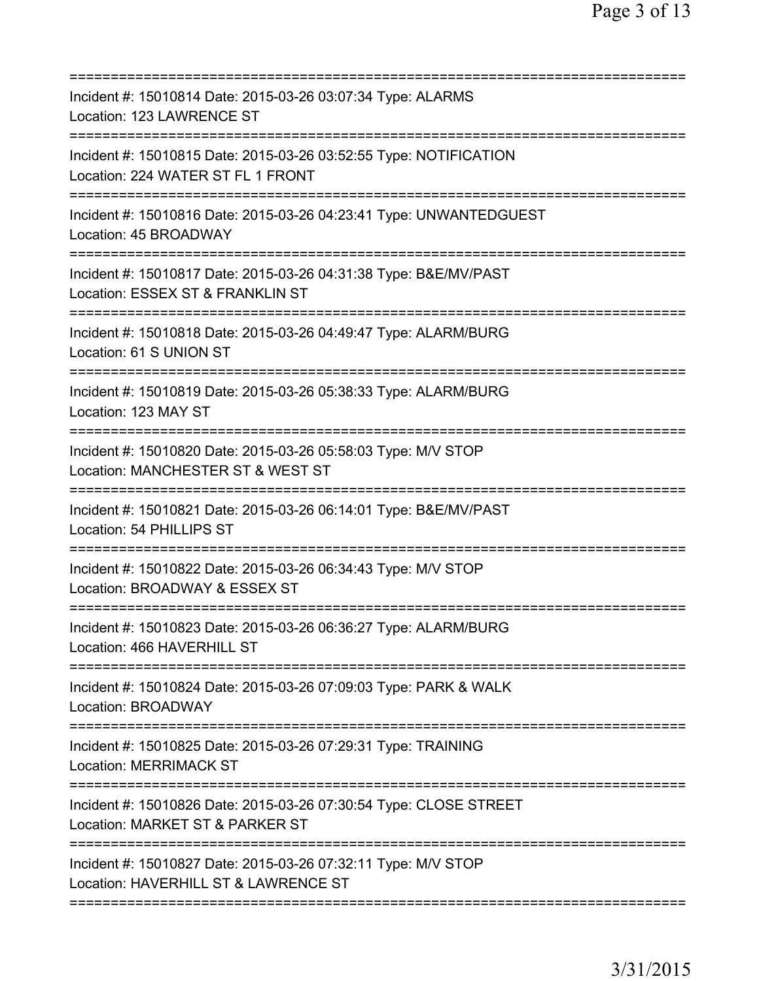| Incident #: 15010814 Date: 2015-03-26 03:07:34 Type: ALARMS<br>Location: 123 LAWRENCE ST                                              |
|---------------------------------------------------------------------------------------------------------------------------------------|
| Incident #: 15010815 Date: 2015-03-26 03:52:55 Type: NOTIFICATION<br>Location: 224 WATER ST FL 1 FRONT                                |
| Incident #: 15010816 Date: 2015-03-26 04:23:41 Type: UNWANTEDGUEST<br>Location: 45 BROADWAY                                           |
| Incident #: 15010817 Date: 2015-03-26 04:31:38 Type: B&E/MV/PAST<br>Location: ESSEX ST & FRANKLIN ST<br>========================      |
| Incident #: 15010818 Date: 2015-03-26 04:49:47 Type: ALARM/BURG<br>Location: 61 S UNION ST                                            |
| Incident #: 15010819 Date: 2015-03-26 05:38:33 Type: ALARM/BURG<br>Location: 123 MAY ST<br>======================================     |
| Incident #: 15010820 Date: 2015-03-26 05:58:03 Type: M/V STOP<br>Location: MANCHESTER ST & WEST ST<br>=============================== |
| Incident #: 15010821 Date: 2015-03-26 06:14:01 Type: B&E/MV/PAST<br>Location: 54 PHILLIPS ST                                          |
| Incident #: 15010822 Date: 2015-03-26 06:34:43 Type: M/V STOP<br>Location: BROADWAY & ESSEX ST                                        |
| Incident #: 15010823 Date: 2015-03-26 06:36:27 Type: ALARM/BURG<br>Location: 466 HAVERHILL ST                                         |
| Incident #: 15010824 Date: 2015-03-26 07:09:03 Type: PARK & WALK<br><b>Location: BROADWAY</b>                                         |
| Incident #: 15010825 Date: 2015-03-26 07:29:31 Type: TRAINING<br><b>Location: MERRIMACK ST</b>                                        |
| Incident #: 15010826 Date: 2015-03-26 07:30:54 Type: CLOSE STREET<br>Location: MARKET ST & PARKER ST                                  |
| ============================<br>Incident #: 15010827 Date: 2015-03-26 07:32:11 Type: M/V STOP<br>Location: HAVERHILL ST & LAWRENCE ST |
|                                                                                                                                       |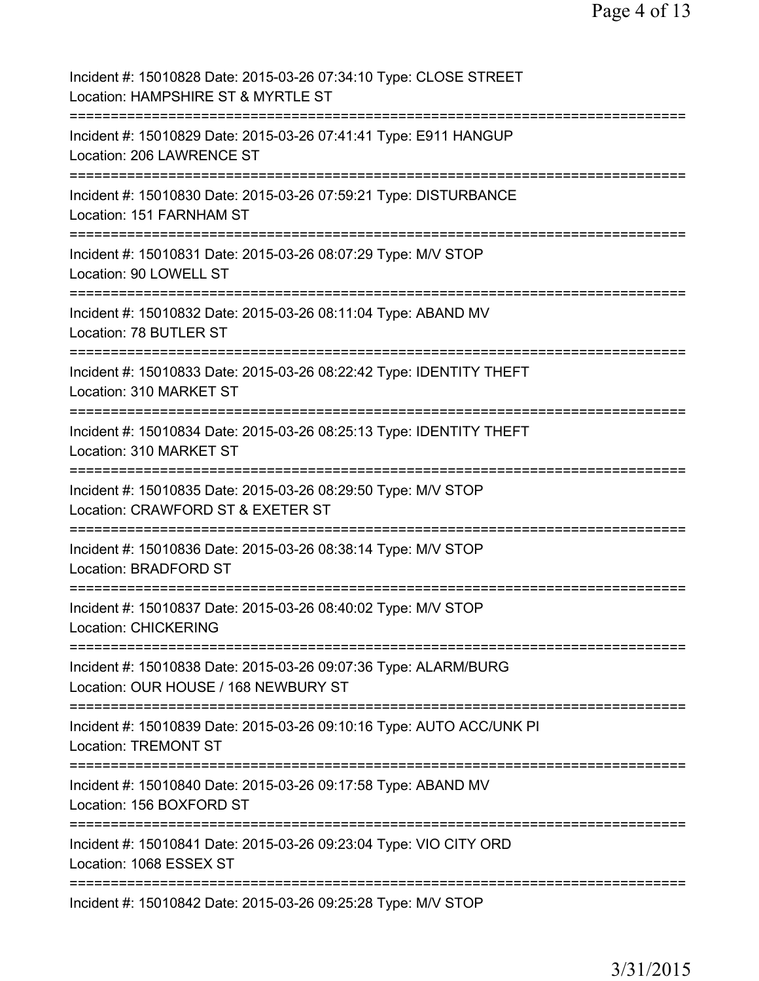| Incident #: 15010828 Date: 2015-03-26 07:34:10 Type: CLOSE STREET<br>Location: HAMPSHIRE ST & MYRTLE ST                                |
|----------------------------------------------------------------------------------------------------------------------------------------|
| Incident #: 15010829 Date: 2015-03-26 07:41:41 Type: E911 HANGUP<br>Location: 206 LAWRENCE ST                                          |
| Incident #: 15010830 Date: 2015-03-26 07:59:21 Type: DISTURBANCE<br>Location: 151 FARNHAM ST                                           |
| Incident #: 15010831 Date: 2015-03-26 08:07:29 Type: M/V STOP<br>Location: 90 LOWELL ST                                                |
| Incident #: 15010832 Date: 2015-03-26 08:11:04 Type: ABAND MV<br>Location: 78 BUTLER ST                                                |
| Incident #: 15010833 Date: 2015-03-26 08:22:42 Type: IDENTITY THEFT<br>Location: 310 MARKET ST                                         |
| Incident #: 15010834 Date: 2015-03-26 08:25:13 Type: IDENTITY THEFT<br>Location: 310 MARKET ST                                         |
| Incident #: 15010835 Date: 2015-03-26 08:29:50 Type: M/V STOP<br>Location: CRAWFORD ST & EXETER ST                                     |
| Incident #: 15010836 Date: 2015-03-26 08:38:14 Type: M/V STOP<br>Location: BRADFORD ST                                                 |
| Incident #: 15010837 Date: 2015-03-26 08:40:02 Type: M/V STOP<br><b>Location: CHICKERING</b>                                           |
| Incident #: 15010838 Date: 2015-03-26 09:07:36 Type: ALARM/BURG<br>Location: OUR HOUSE / 168 NEWBURY ST                                |
| ===============================<br>Incident #: 15010839 Date: 2015-03-26 09:10:16 Type: AUTO ACC/UNK PI<br><b>Location: TREMONT ST</b> |
| Incident #: 15010840 Date: 2015-03-26 09:17:58 Type: ABAND MV<br>Location: 156 BOXFORD ST                                              |
| Incident #: 15010841 Date: 2015-03-26 09:23:04 Type: VIO CITY ORD<br>Location: 1068 ESSEX ST                                           |
| Incident #: 15010842 Date: 2015-03-26 09:25:28 Type: M/V STOP                                                                          |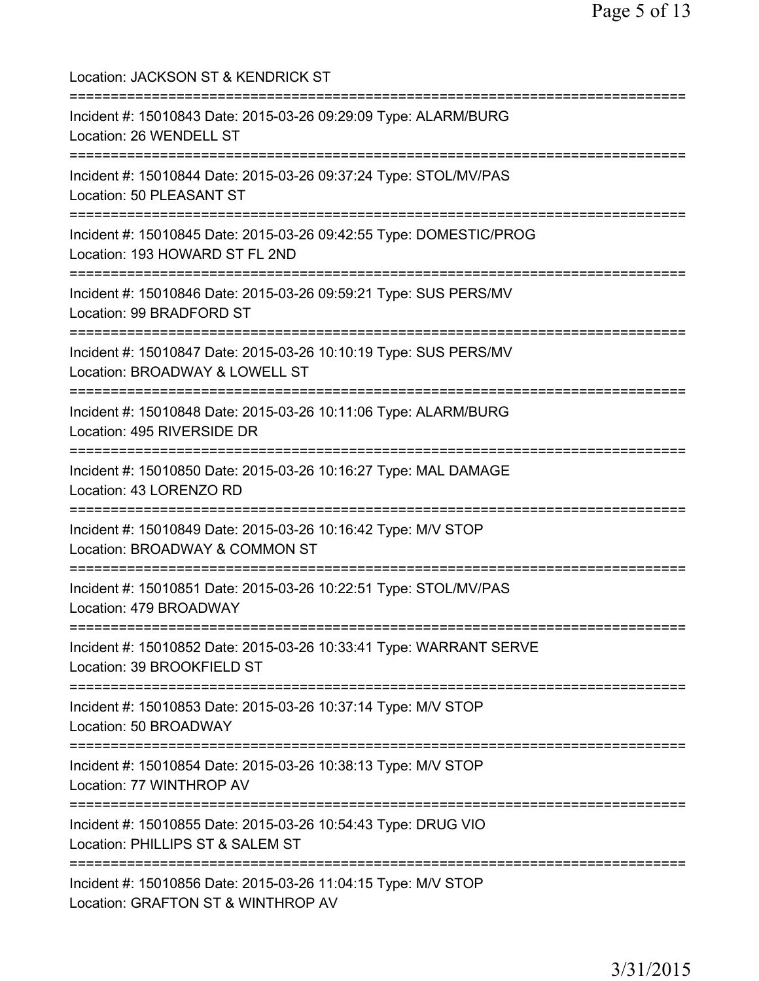| Location: JACKSON ST & KENDRICK ST                                                                                                  |
|-------------------------------------------------------------------------------------------------------------------------------------|
| Incident #: 15010843 Date: 2015-03-26 09:29:09 Type: ALARM/BURG<br>Location: 26 WENDELL ST<br>:===================                  |
| Incident #: 15010844 Date: 2015-03-26 09:37:24 Type: STOL/MV/PAS<br>Location: 50 PLEASANT ST<br>======================              |
| Incident #: 15010845 Date: 2015-03-26 09:42:55 Type: DOMESTIC/PROG<br>Location: 193 HOWARD ST FL 2ND<br>=========================== |
| Incident #: 15010846 Date: 2015-03-26 09:59:21 Type: SUS PERS/MV<br>Location: 99 BRADFORD ST                                        |
| Incident #: 15010847 Date: 2015-03-26 10:10:19 Type: SUS PERS/MV<br>Location: BROADWAY & LOWELL ST                                  |
| Incident #: 15010848 Date: 2015-03-26 10:11:06 Type: ALARM/BURG<br>Location: 495 RIVERSIDE DR                                       |
| Incident #: 15010850 Date: 2015-03-26 10:16:27 Type: MAL DAMAGE<br>Location: 43 LORENZO RD<br>============================          |
| Incident #: 15010849 Date: 2015-03-26 10:16:42 Type: M/V STOP<br>Location: BROADWAY & COMMON ST                                     |
| ===========================<br>Incident #: 15010851 Date: 2015-03-26 10:22:51 Type: STOL/MV/PAS<br>Location: 479 BROADWAY           |
| Incident #: 15010852 Date: 2015-03-26 10:33:41 Type: WARRANT SERVE<br>Location: 39 BROOKFIELD ST                                    |
| Incident #: 15010853 Date: 2015-03-26 10:37:14 Type: M/V STOP<br>Location: 50 BROADWAY                                              |
| Incident #: 15010854 Date: 2015-03-26 10:38:13 Type: M/V STOP<br>Location: 77 WINTHROP AV                                           |
| Incident #: 15010855 Date: 2015-03-26 10:54:43 Type: DRUG VIO<br>Location: PHILLIPS ST & SALEM ST                                   |
| Incident #: 15010856 Date: 2015-03-26 11:04:15 Type: M/V STOP<br>Location: GRAFTON ST & WINTHROP AV                                 |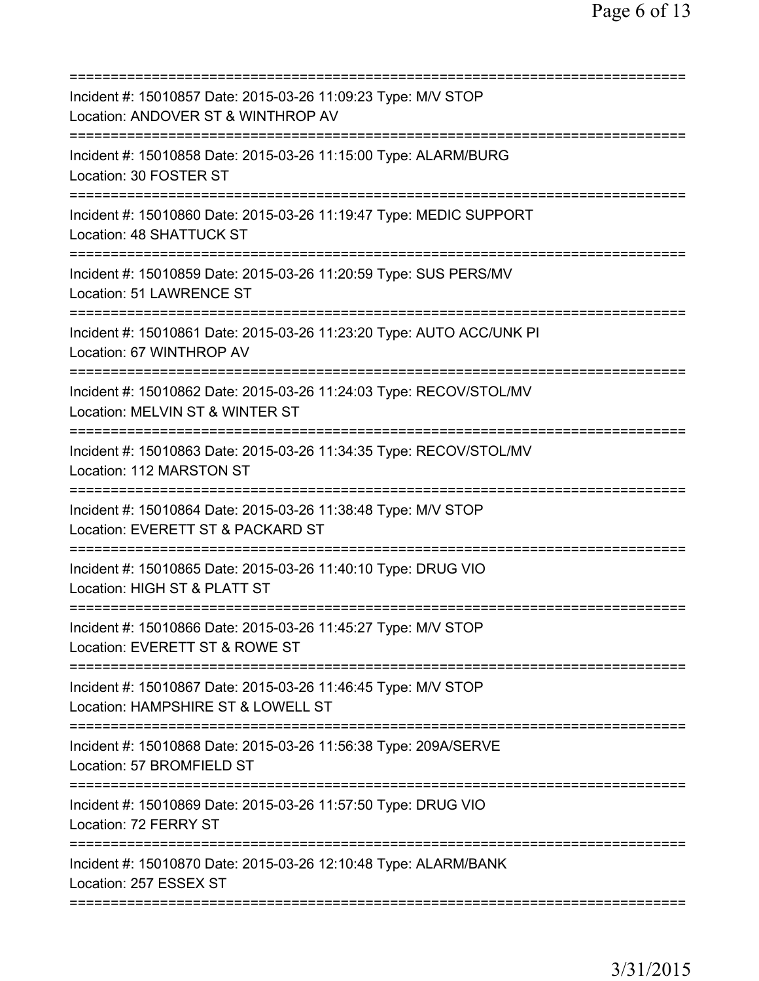| Incident #: 15010857 Date: 2015-03-26 11:09:23 Type: M/V STOP<br>Location: ANDOVER ST & WINTHROP AV   |
|-------------------------------------------------------------------------------------------------------|
| Incident #: 15010858 Date: 2015-03-26 11:15:00 Type: ALARM/BURG<br>Location: 30 FOSTER ST             |
| Incident #: 15010860 Date: 2015-03-26 11:19:47 Type: MEDIC SUPPORT<br>Location: 48 SHATTUCK ST        |
| Incident #: 15010859 Date: 2015-03-26 11:20:59 Type: SUS PERS/MV<br>Location: 51 LAWRENCE ST          |
| Incident #: 15010861 Date: 2015-03-26 11:23:20 Type: AUTO ACC/UNK PI<br>Location: 67 WINTHROP AV      |
| Incident #: 15010862 Date: 2015-03-26 11:24:03 Type: RECOV/STOL/MV<br>Location: MELVIN ST & WINTER ST |
| Incident #: 15010863 Date: 2015-03-26 11:34:35 Type: RECOV/STOL/MV<br>Location: 112 MARSTON ST        |
| Incident #: 15010864 Date: 2015-03-26 11:38:48 Type: M/V STOP<br>Location: EVERETT ST & PACKARD ST    |
| Incident #: 15010865 Date: 2015-03-26 11:40:10 Type: DRUG VIO<br>Location: HIGH ST & PLATT ST         |
| Incident #: 15010866 Date: 2015-03-26 11:45:27 Type: M/V STOP<br>Location: EVERETT ST & ROWE ST       |
| Incident #: 15010867 Date: 2015-03-26 11:46:45 Type: M/V STOP<br>Location: HAMPSHIRE ST & LOWELL ST   |
| Incident #: 15010868 Date: 2015-03-26 11:56:38 Type: 209A/SERVE<br>Location: 57 BROMFIELD ST          |
| Incident #: 15010869 Date: 2015-03-26 11:57:50 Type: DRUG VIO<br>Location: 72 FERRY ST                |
| Incident #: 15010870 Date: 2015-03-26 12:10:48 Type: ALARM/BANK<br>Location: 257 ESSEX ST             |
|                                                                                                       |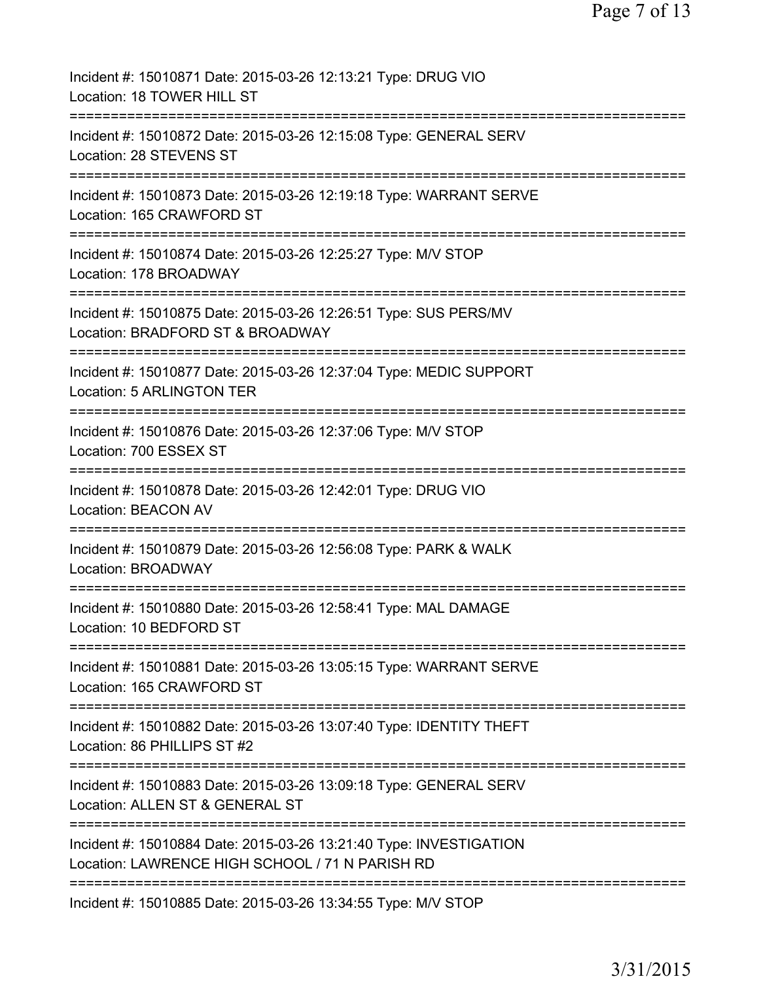| Incident #: 15010871 Date: 2015-03-26 12:13:21 Type: DRUG VIO<br>Location: 18 TOWER HILL ST                                                     |
|-------------------------------------------------------------------------------------------------------------------------------------------------|
| ===================<br>Incident #: 15010872 Date: 2015-03-26 12:15:08 Type: GENERAL SERV<br>Location: 28 STEVENS ST                             |
| Incident #: 15010873 Date: 2015-03-26 12:19:18 Type: WARRANT SERVE<br>Location: 165 CRAWFORD ST                                                 |
| Incident #: 15010874 Date: 2015-03-26 12:25:27 Type: M/V STOP<br>Location: 178 BROADWAY                                                         |
| Incident #: 15010875 Date: 2015-03-26 12:26:51 Type: SUS PERS/MV<br>Location: BRADFORD ST & BROADWAY                                            |
| ===========================<br>Incident #: 15010877 Date: 2015-03-26 12:37:04 Type: MEDIC SUPPORT<br>Location: 5 ARLINGTON TER                  |
| Incident #: 15010876 Date: 2015-03-26 12:37:06 Type: M/V STOP<br>Location: 700 ESSEX ST                                                         |
| Incident #: 15010878 Date: 2015-03-26 12:42:01 Type: DRUG VIO<br><b>Location: BEACON AV</b>                                                     |
| Incident #: 15010879 Date: 2015-03-26 12:56:08 Type: PARK & WALK<br><b>Location: BROADWAY</b>                                                   |
| Incident #: 15010880 Date: 2015-03-26 12:58:41 Type: MAL DAMAGE<br>Location: 10 BEDFORD ST                                                      |
| Incident #: 15010881 Date: 2015-03-26 13:05:15 Type: WARRANT SERVE<br>Location: 165 CRAWFORD ST                                                 |
| Incident #: 15010882 Date: 2015-03-26 13:07:40 Type: IDENTITY THEFT<br>Location: 86 PHILLIPS ST #2                                              |
| Incident #: 15010883 Date: 2015-03-26 13:09:18 Type: GENERAL SERV<br>Location: ALLEN ST & GENERAL ST                                            |
| ======================<br>Incident #: 15010884 Date: 2015-03-26 13:21:40 Type: INVESTIGATION<br>Location: LAWRENCE HIGH SCHOOL / 71 N PARISH RD |
| Incident #: 15010885 Date: 2015-03-26 13:34:55 Type: M/V STOP                                                                                   |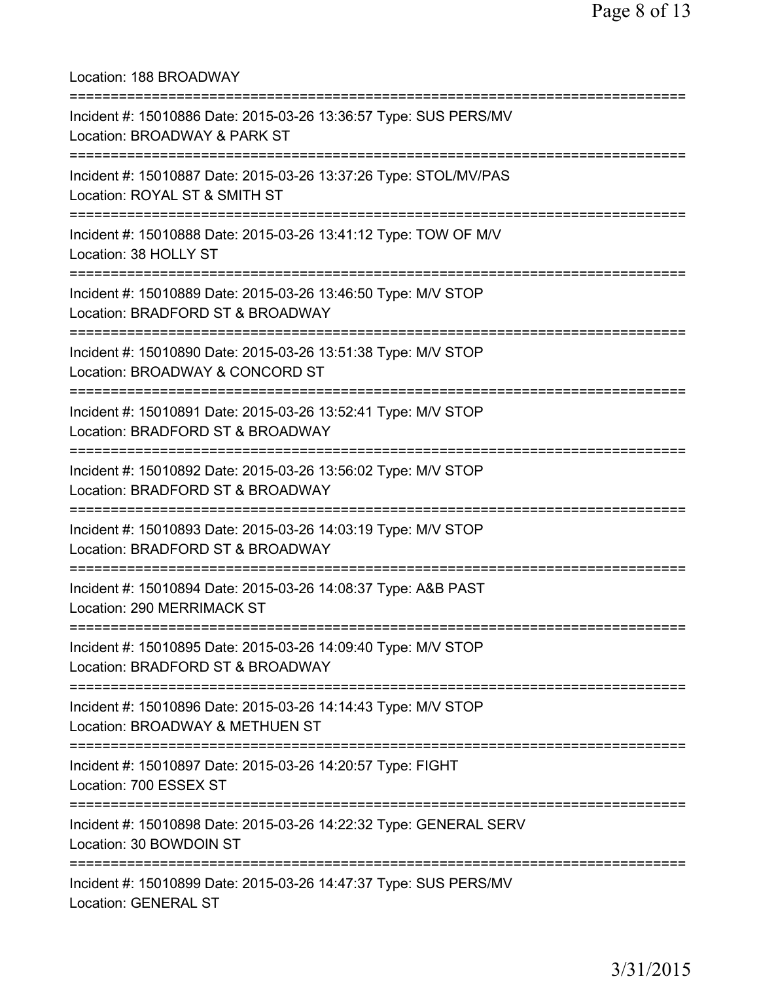Location: 188 BROADWAY =========================================================================== Incident #: 15010886 Date: 2015-03-26 13:36:57 Type: SUS PERS/MV Location: BROADWAY & PARK ST =========================================================================== Incident #: 15010887 Date: 2015-03-26 13:37:26 Type: STOL/MV/PAS Location: ROYAL ST & SMITH ST =========================================================================== Incident #: 15010888 Date: 2015-03-26 13:41:12 Type: TOW OF M/V Location: 38 HOLLY ST =========================================================================== Incident #: 15010889 Date: 2015-03-26 13:46:50 Type: M/V STOP Location: BRADFORD ST & BROADWAY =========================================================================== Incident #: 15010890 Date: 2015-03-26 13:51:38 Type: M/V STOP Location: BROADWAY & CONCORD ST =========================================================================== Incident #: 15010891 Date: 2015-03-26 13:52:41 Type: M/V STOP Location: BRADFORD ST & BROADWAY =========================================================================== Incident #: 15010892 Date: 2015-03-26 13:56:02 Type: M/V STOP Location: BRADFORD ST & BROADWAY =========================================================================== Incident #: 15010893 Date: 2015-03-26 14:03:19 Type: M/V STOP Location: BRADFORD ST & BROADWAY =========================================================================== Incident #: 15010894 Date: 2015-03-26 14:08:37 Type: A&B PAST Location: 290 MERRIMACK ST =========================================================================== Incident #: 15010895 Date: 2015-03-26 14:09:40 Type: M/V STOP Location: BRADFORD ST & BROADWAY =========================================================================== Incident #: 15010896 Date: 2015-03-26 14:14:43 Type: M/V STOP Location: BROADWAY & METHUEN ST =========================================================================== Incident #: 15010897 Date: 2015-03-26 14:20:57 Type: FIGHT Location: 700 ESSEX ST =========================================================================== Incident #: 15010898 Date: 2015-03-26 14:22:32 Type: GENERAL SERV Location: 30 BOWDOIN ST =========================================================================== Incident #: 15010899 Date: 2015-03-26 14:47:37 Type: SUS PERS/MV Location: GENERAL ST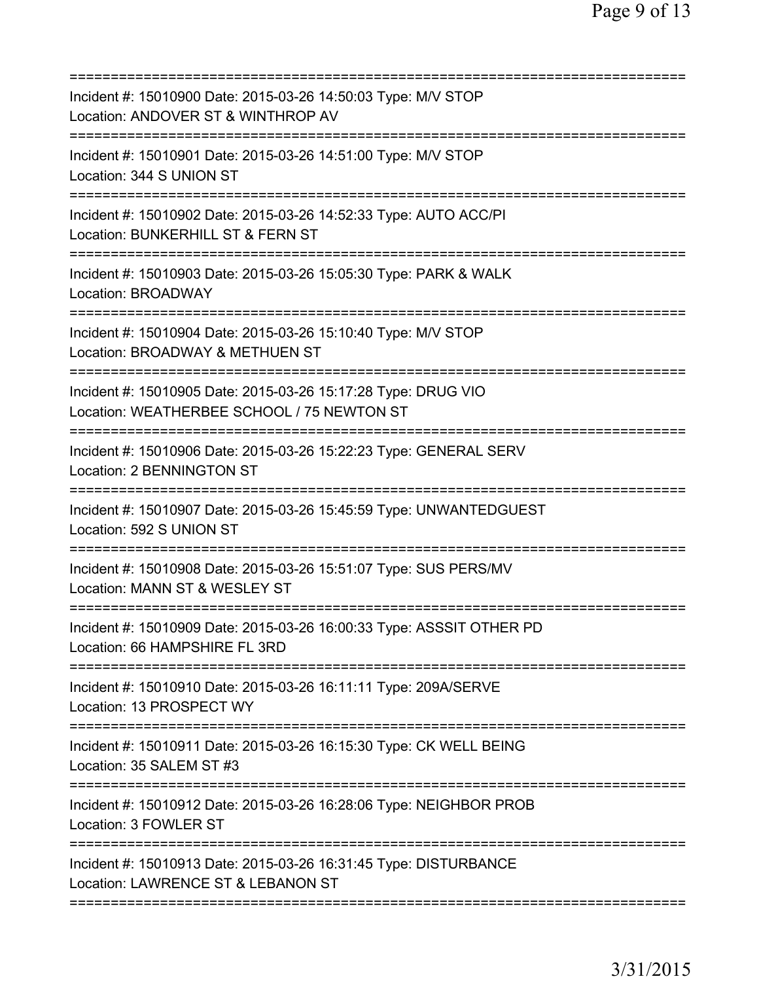| Incident #: 15010900 Date: 2015-03-26 14:50:03 Type: M/V STOP<br>Location: ANDOVER ST & WINTHROP AV                                         |
|---------------------------------------------------------------------------------------------------------------------------------------------|
| Incident #: 15010901 Date: 2015-03-26 14:51:00 Type: M/V STOP<br>Location: 344 S UNION ST                                                   |
| Incident #: 15010902 Date: 2015-03-26 14:52:33 Type: AUTO ACC/PI<br>Location: BUNKERHILL ST & FERN ST                                       |
| Incident #: 15010903 Date: 2015-03-26 15:05:30 Type: PARK & WALK<br><b>Location: BROADWAY</b>                                               |
| ;==============================<br>Incident #: 15010904 Date: 2015-03-26 15:10:40 Type: M/V STOP<br>Location: BROADWAY & METHUEN ST         |
| ;===========================<br>Incident #: 15010905 Date: 2015-03-26 15:17:28 Type: DRUG VIO<br>Location: WEATHERBEE SCHOOL / 75 NEWTON ST |
| Incident #: 15010906 Date: 2015-03-26 15:22:23 Type: GENERAL SERV<br>Location: 2 BENNINGTON ST                                              |
| Incident #: 15010907 Date: 2015-03-26 15:45:59 Type: UNWANTEDGUEST<br>Location: 592 S UNION ST                                              |
| Incident #: 15010908 Date: 2015-03-26 15:51:07 Type: SUS PERS/MV<br>Location: MANN ST & WESLEY ST                                           |
| Incident #: 15010909 Date: 2015-03-26 16:00:33 Type: ASSSIT OTHER PD<br>Location: 66 HAMPSHIRE FL 3RD                                       |
| Incident #: 15010910 Date: 2015-03-26 16:11:11 Type: 209A/SERVE<br>Location: 13 PROSPECT WY                                                 |
| Incident #: 15010911 Date: 2015-03-26 16:15:30 Type: CK WELL BEING<br>Location: 35 SALEM ST #3                                              |
| Incident #: 15010912 Date: 2015-03-26 16:28:06 Type: NEIGHBOR PROB<br>Location: 3 FOWLER ST                                                 |
| Incident #: 15010913 Date: 2015-03-26 16:31:45 Type: DISTURBANCE<br>Location: LAWRENCE ST & LEBANON ST                                      |
|                                                                                                                                             |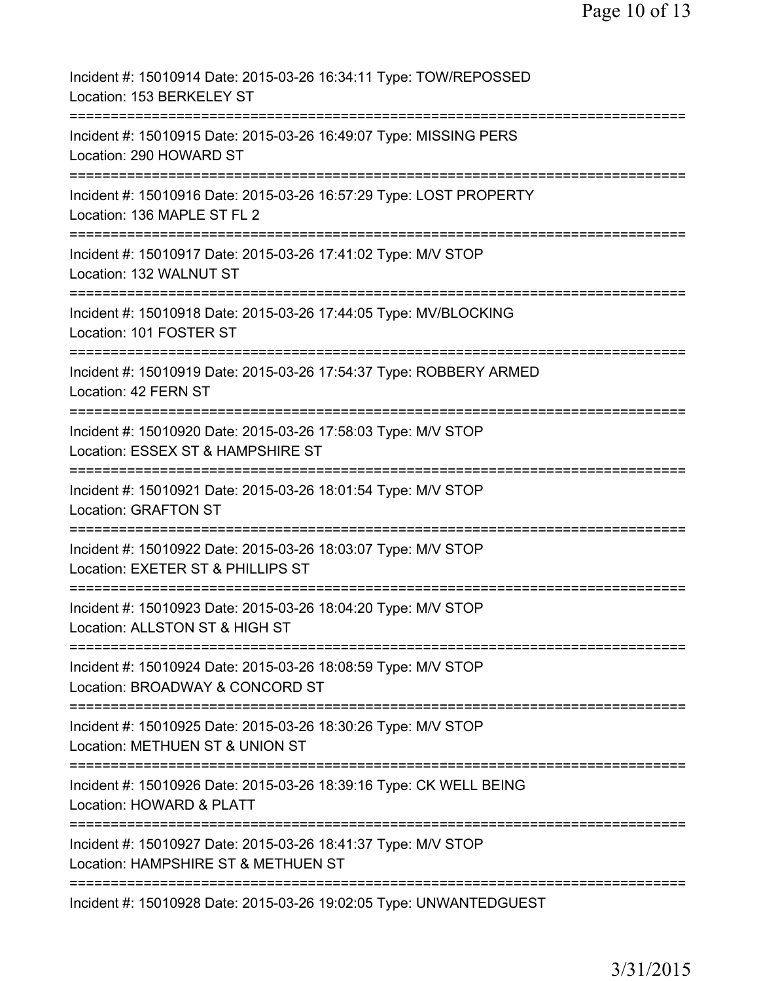| Incident #: 15010914 Date: 2015-03-26 16:34:11 Type: TOW/REPOSSED<br>Location: 153 BERKELEY ST                       |
|----------------------------------------------------------------------------------------------------------------------|
| Incident #: 15010915 Date: 2015-03-26 16:49:07 Type: MISSING PERS<br>Location: 290 HOWARD ST                         |
| Incident #: 15010916 Date: 2015-03-26 16:57:29 Type: LOST PROPERTY<br>Location: 136 MAPLE ST FL 2                    |
| Incident #: 15010917 Date: 2015-03-26 17:41:02 Type: M/V STOP<br>Location: 132 WALNUT ST                             |
| Incident #: 15010918 Date: 2015-03-26 17:44:05 Type: MV/BLOCKING<br>Location: 101 FOSTER ST                          |
| Incident #: 15010919 Date: 2015-03-26 17:54:37 Type: ROBBERY ARMED<br>Location: 42 FERN ST                           |
| ==============<br>Incident #: 15010920 Date: 2015-03-26 17:58:03 Type: M/V STOP<br>Location: ESSEX ST & HAMPSHIRE ST |
| Incident #: 15010921 Date: 2015-03-26 18:01:54 Type: M/V STOP<br><b>Location: GRAFTON ST</b>                         |
| Incident #: 15010922 Date: 2015-03-26 18:03:07 Type: M/V STOP<br>Location: EXETER ST & PHILLIPS ST                   |
| Incident #: 15010923 Date: 2015-03-26 18:04:20 Type: M/V STOP<br>Location: ALLSTON ST & HIGH ST                      |
| Incident #: 15010924 Date: 2015-03-26 18:08:59 Type: M/V STOP<br>Location: BROADWAY & CONCORD ST                     |
| Incident #: 15010925 Date: 2015-03-26 18:30:26 Type: M/V STOP<br>Location: METHUEN ST & UNION ST                     |
| Incident #: 15010926 Date: 2015-03-26 18:39:16 Type: CK WELL BEING<br>Location: HOWARD & PLATT                       |
| Incident #: 15010927 Date: 2015-03-26 18:41:37 Type: M/V STOP<br>Location: HAMPSHIRE ST & METHUEN ST                 |
| =========================<br>Incident #: 15010928 Date: 2015-03-26 19:02:05 Type: UNWANTEDGUEST                      |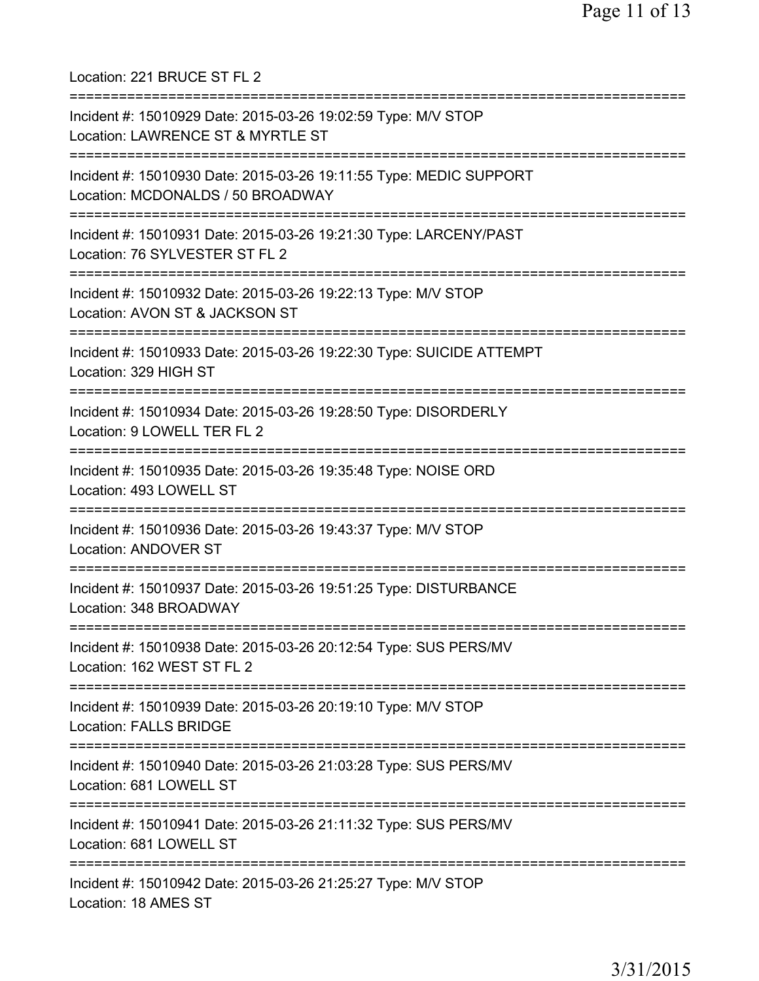Location: 221 BRUCE ST FL 2 =========================================================================== Incident #: 15010929 Date: 2015-03-26 19:02:59 Type: M/V STOP Location: LAWRENCE ST & MYRTLE ST =========================================================================== Incident #: 15010930 Date: 2015-03-26 19:11:55 Type: MEDIC SUPPORT Location: MCDONALDS / 50 BROADWAY =========================================================================== Incident #: 15010931 Date: 2015-03-26 19:21:30 Type: LARCENY/PAST Location: 76 SYLVESTER ST FL 2 =========================================================================== Incident #: 15010932 Date: 2015-03-26 19:22:13 Type: M/V STOP Location: AVON ST & JACKSON ST =========================================================================== Incident #: 15010933 Date: 2015-03-26 19:22:30 Type: SUICIDE ATTEMPT Location: 329 HIGH ST =========================================================================== Incident #: 15010934 Date: 2015-03-26 19:28:50 Type: DISORDERLY Location: 9 LOWELL TER FL 2 =========================================================================== Incident #: 15010935 Date: 2015-03-26 19:35:48 Type: NOISE ORD Location: 493 LOWELL ST =========================================================================== Incident #: 15010936 Date: 2015-03-26 19:43:37 Type: M/V STOP Location: ANDOVER ST =========================================================================== Incident #: 15010937 Date: 2015-03-26 19:51:25 Type: DISTURBANCE Location: 348 BROADWAY =========================================================================== Incident #: 15010938 Date: 2015-03-26 20:12:54 Type: SUS PERS/MV Location: 162 WEST ST FL 2 =========================================================================== Incident #: 15010939 Date: 2015-03-26 20:19:10 Type: M/V STOP Location: FALLS BRIDGE =========================================================================== Incident #: 15010940 Date: 2015-03-26 21:03:28 Type: SUS PERS/MV Location: 681 LOWELL ST =========================================================================== Incident #: 15010941 Date: 2015-03-26 21:11:32 Type: SUS PERS/MV Location: 681 LOWELL ST =========================================================================== Incident #: 15010942 Date: 2015-03-26 21:25:27 Type: M/V STOP Location: 18 AMES ST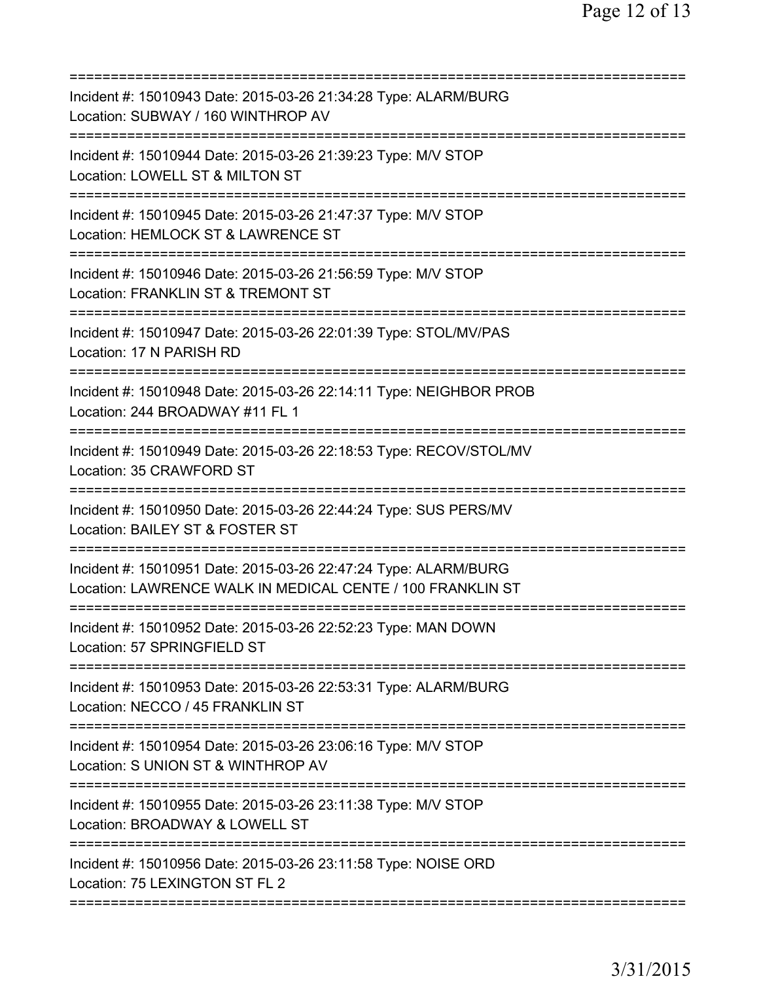| Incident #: 15010943 Date: 2015-03-26 21:34:28 Type: ALARM/BURG<br>Location: SUBWAY / 160 WINTHROP AV                               |
|-------------------------------------------------------------------------------------------------------------------------------------|
| Incident #: 15010944 Date: 2015-03-26 21:39:23 Type: M/V STOP<br>Location: LOWELL ST & MILTON ST                                    |
| Incident #: 15010945 Date: 2015-03-26 21:47:37 Type: M/V STOP<br>Location: HEMLOCK ST & LAWRENCE ST                                 |
| Incident #: 15010946 Date: 2015-03-26 21:56:59 Type: M/V STOP<br>Location: FRANKLIN ST & TREMONT ST                                 |
| =======================<br>Incident #: 15010947 Date: 2015-03-26 22:01:39 Type: STOL/MV/PAS<br>Location: 17 N PARISH RD             |
| Incident #: 15010948 Date: 2015-03-26 22:14:11 Type: NEIGHBOR PROB<br>Location: 244 BROADWAY #11 FL 1<br>========================== |
| Incident #: 15010949 Date: 2015-03-26 22:18:53 Type: RECOV/STOL/MV<br>Location: 35 CRAWFORD ST                                      |
| Incident #: 15010950 Date: 2015-03-26 22:44:24 Type: SUS PERS/MV<br>Location: BAILEY ST & FOSTER ST                                 |
| Incident #: 15010951 Date: 2015-03-26 22:47:24 Type: ALARM/BURG<br>Location: LAWRENCE WALK IN MEDICAL CENTE / 100 FRANKLIN ST       |
| Incident #: 15010952 Date: 2015-03-26 22:52:23 Type: MAN DOWN<br>Location: 57 SPRINGFIELD ST                                        |
| Incident #: 15010953 Date: 2015-03-26 22:53:31 Type: ALARM/BURG<br>Location: NECCO / 45 FRANKLIN ST                                 |
| Incident #: 15010954 Date: 2015-03-26 23:06:16 Type: M/V STOP<br>Location: S UNION ST & WINTHROP AV                                 |
| Incident #: 15010955 Date: 2015-03-26 23:11:38 Type: M/V STOP<br>Location: BROADWAY & LOWELL ST                                     |
| ==========================<br>Incident #: 15010956 Date: 2015-03-26 23:11:58 Type: NOISE ORD<br>Location: 75 LEXINGTON ST FL 2      |
|                                                                                                                                     |